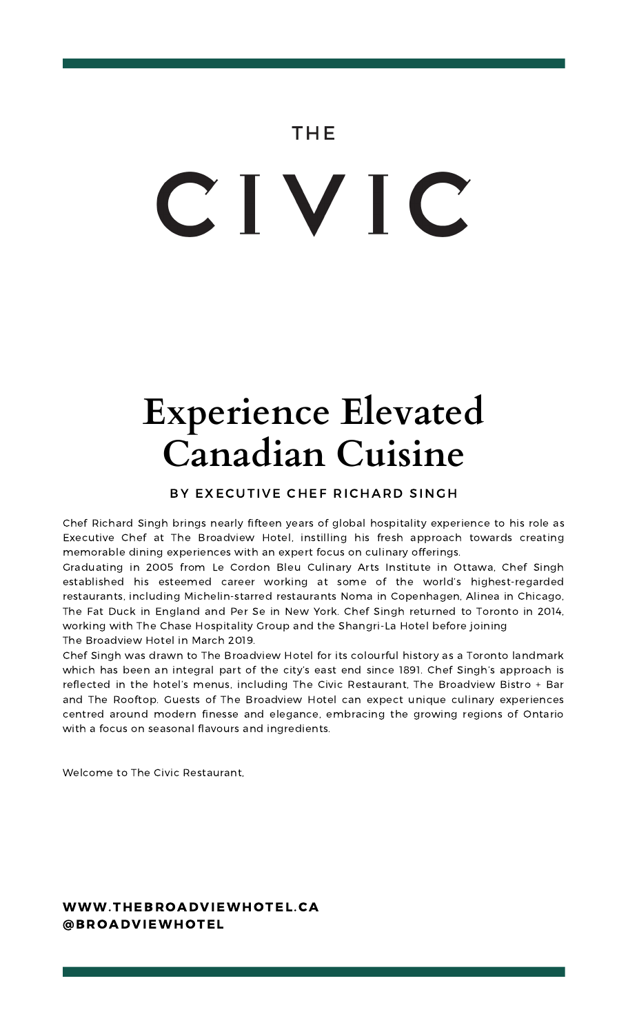## THE

# CIVIC

# **Experience Elevated Canadian Cuisine**

#### BY EXECUTIVE CHEF RICHARD SINGH

Chef Richard Singh brings nearly fifteen years of global hospitality experience to his role as Executive Chef at The Broadview Hotel, instilling his fresh approach towards creating memorable dining experiences with an expert focus on culinary offerings.

Graduating in 2005 from Le Cordon Bleu Culinary Arts Institute in Ottawa, Chef Singh established his esteemed career working at some of the world's highest-regarded restaurants, including Michelin-starred restaurants Noma in Copenhagen, Alinea in Chicago, The Fat Duck in England and Per Se in New York. Chef Singh returned to Toronto in 2014, working with The Chase Hospitality Group and the Shangri-La Hotel before joining The Broadview Hotel in March 2019.

Chef Singh was drawn to The Broadview Hotel for its colourful history as a Toronto landmark which has been an integral part of the city's east end since 1891. Chef Singh's approach is reflected in the hotel's menus, including The Civic Restaurant, The Broadview Bistro + Bar and The Rooftop. Guests of The Broadview Hotel can expect unique culinary experiences centred around modern finesse and elegance, embracing the growing regions of Ontario with a focus on seasonal flavours and ingredients.

Welcome to The Civic Restaurant,

#### WWW.THEBROADVIEWHOTEL.CA @BROADVIEWHOTEL